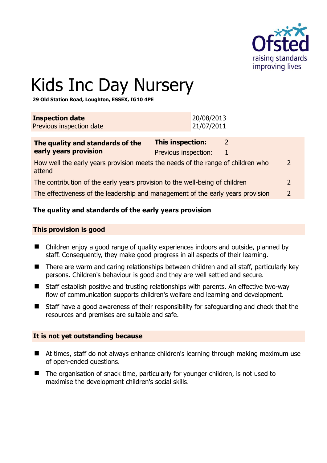

2

# Kids Inc Day Nursery

**29 Old Station Road, Loughton, ESSEX, IG10 4PE** 

| <b>Inspection date</b><br>Previous inspection date                                        |                                                 | 20/08/2013<br>21/07/2011 |        |                |
|-------------------------------------------------------------------------------------------|-------------------------------------------------|--------------------------|--------|----------------|
| The quality and standards of the<br>early years provision                                 | <b>This inspection:</b><br>Previous inspection: |                          | 2<br>1 |                |
| How well the early years provision meets the needs of the range of children who<br>attend |                                                 |                          |        | $\overline{2}$ |
| The contribution of the early years provision to the well-being of children               |                                                 |                          |        | $\overline{2}$ |
| The effectiveness of the leadership and management of the early years provision           |                                                 |                          |        | $\overline{2}$ |

# **The quality and standards of the early years provision**

#### **This provision is good**

- Children enjoy a good range of quality experiences indoors and outside, planned by staff. Consequently, they make good progress in all aspects of their learning.
- There are warm and caring relationships between children and all staff, particularly key persons. Children's behaviour is good and they are well settled and secure.
- Staff establish positive and trusting relationships with parents. An effective two-way flow of communication supports children's welfare and learning and development.
- Staff have a good awareness of their responsibility for safeguarding and check that the resources and premises are suitable and safe.

#### **It is not yet outstanding because**

- At times, staff do not always enhance children's learning through making maximum use of open-ended questions.
- The organisation of snack time, particularly for younger children, is not used to maximise the development children's social skills.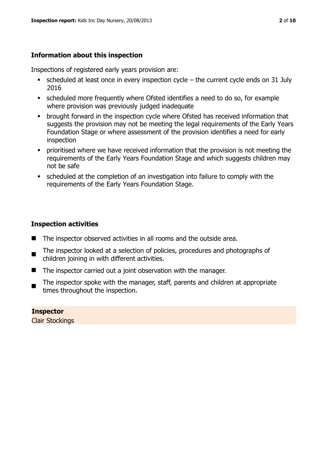# **Information about this inspection**

Inspections of registered early years provision are:

- scheduled at least once in every inspection cycle the current cycle ends on 31 July 2016
- scheduled more frequently where Ofsted identifies a need to do so, for example where provision was previously judged inadequate
- **•** brought forward in the inspection cycle where Ofsted has received information that suggests the provision may not be meeting the legal requirements of the Early Years Foundation Stage or where assessment of the provision identifies a need for early inspection
- **•** prioritised where we have received information that the provision is not meeting the requirements of the Early Years Foundation Stage and which suggests children may not be safe
- scheduled at the completion of an investigation into failure to comply with the requirements of the Early Years Foundation Stage.

# **Inspection activities**

- The inspector observed activities in all rooms and the outside area.
- $\blacksquare$ The inspector looked at a selection of policies, procedures and photographs of children joining in with different activities.
- The inspector carried out a joint observation with the manager.
- $\blacksquare$ The inspector spoke with the manager, staff, parents and children at appropriate times throughout the inspection.

# **Inspector**

Clair Stockings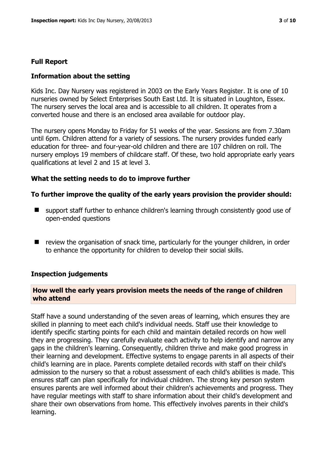# **Full Report**

# **Information about the setting**

Kids Inc. Day Nursery was registered in 2003 on the Early Years Register. It is one of 10 nurseries owned by Select Enterprises South East Ltd. It is situated in Loughton, Essex. The nursery serves the local area and is accessible to all children. It operates from a converted house and there is an enclosed area available for outdoor play.

The nursery opens Monday to Friday for 51 weeks of the year. Sessions are from 7.30am until 6pm. Children attend for a variety of sessions. The nursery provides funded early education for three- and four-year-old children and there are 107 children on roll. The nursery employs 19 members of childcare staff. Of these, two hold appropriate early years qualifications at level 2 and 15 at level 3.

#### **What the setting needs to do to improve further**

#### **To further improve the quality of the early years provision the provider should:**

- support staff further to enhance children's learning through consistently good use of open-ended questions
- $\blacksquare$  review the organisation of snack time, particularly for the younger children, in order to enhance the opportunity for children to develop their social skills.

# **Inspection judgements**

#### **How well the early years provision meets the needs of the range of children who attend**

Staff have a sound understanding of the seven areas of learning, which ensures they are skilled in planning to meet each child's individual needs. Staff use their knowledge to identify specific starting points for each child and maintain detailed records on how well they are progressing. They carefully evaluate each activity to help identify and narrow any gaps in the children's learning. Consequently, children thrive and make good progress in their learning and development. Effective systems to engage parents in all aspects of their child's learning are in place. Parents complete detailed records with staff on their child's admission to the nursery so that a robust assessment of each child's abilities is made. This ensures staff can plan specifically for individual children. The strong key person system ensures parents are well informed about their children's achievements and progress. They have regular meetings with staff to share information about their child's development and share their own observations from home. This effectively involves parents in their child's learning.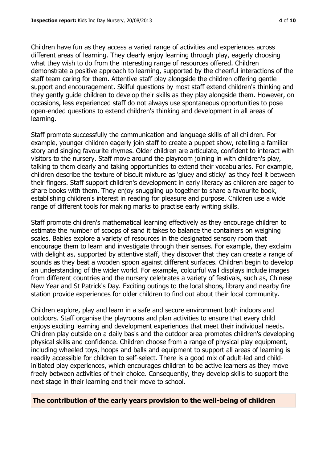Children have fun as they access a varied range of activities and experiences across different areas of learning. They clearly enjoy learning through play, eagerly choosing what they wish to do from the interesting range of resources offered. Children demonstrate a positive approach to learning, supported by the cheerful interactions of the staff team caring for them. Attentive staff play alongside the children offering gentle support and encouragement. Skilful questions by most staff extend children's thinking and they gently guide children to develop their skills as they play alongside them. However, on occasions, less experienced staff do not always use spontaneous opportunities to pose open-ended questions to extend children's thinking and development in all areas of learning.

Staff promote successfully the communication and language skills of all children. For example, younger children eagerly join staff to create a puppet show, retelling a familiar story and singing favourite rhymes. Older children are articulate, confident to interact with visitors to the nursery. Staff move around the playroom joining in with children's play, talking to them clearly and taking opportunities to extend their vocabularies. For example, children describe the texture of biscuit mixture as 'gluey and sticky' as they feel it between their fingers. Staff support children's development in early literacy as children are eager to share books with them. They enjoy snuggling up together to share a favourite book, establishing children's interest in reading for pleasure and purpose. Children use a wide range of different tools for making marks to practise early writing skills.

Staff promote children's mathematical learning effectively as they encourage children to estimate the number of scoops of sand it takes to balance the containers on weighing scales. Babies explore a variety of resources in the designated sensory room that encourage them to learn and investigate through their senses. For example, they exclaim with delight as, supported by attentive staff, they discover that they can create a range of sounds as they beat a wooden spoon against different surfaces. Children begin to develop an understanding of the wider world. For example, colourful wall displays include images from different countries and the nursery celebrates a variety of festivals, such as, Chinese New Year and St Patrick's Day. Exciting outings to the local shops, library and nearby fire station provide experiences for older children to find out about their local community.

Children explore, play and learn in a safe and secure environment both indoors and outdoors. Staff organise the playrooms and plan activities to ensure that every child enjoys exciting learning and development experiences that meet their individual needs. Children play outside on a daily basis and the outdoor area promotes children's developing physical skills and confidence. Children choose from a range of physical play equipment, including wheeled toys, hoops and balls and equipment to support all areas of learning is readily accessible for children to self-select. There is a good mix of adult-led and childinitiated play experiences, which encourages children to be active learners as they move freely between activities of their choice. Consequently, they develop skills to support the next stage in their learning and their move to school.

#### **The contribution of the early years provision to the well-being of children**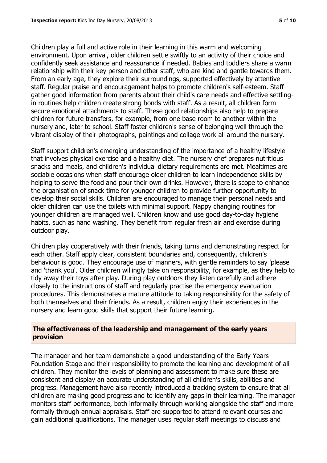Children play a full and active role in their learning in this warm and welcoming environment. Upon arrival, older children settle swiftly to an activity of their choice and confidently seek assistance and reassurance if needed. Babies and toddlers share a warm relationship with their key person and other staff, who are kind and gentle towards them. From an early age, they explore their surroundings, supported effectively by attentive staff. Regular praise and encouragement helps to promote children's self-esteem. Staff gather good information from parents about their child's care needs and effective settlingin routines help children create strong bonds with staff. As a result, all children form secure emotional attachments to staff. These good relationships also help to prepare children for future transfers, for example, from one base room to another within the nursery and, later to school. Staff foster children's sense of belonging well through the vibrant display of their photographs, paintings and collage work all around the nursery.

Staff support children's emerging understanding of the importance of a healthy lifestyle that involves physical exercise and a healthy diet. The nursery chef prepares nutritious snacks and meals, and children's individual dietary requirements are met. Mealtimes are sociable occasions when staff encourage older children to learn independence skills by helping to serve the food and pour their own drinks. However, there is scope to enhance the organisation of snack time for younger children to provide further opportunity to develop their social skills. Children are encouraged to manage their personal needs and older children can use the toilets with minimal support. Nappy changing routines for younger children are managed well. Children know and use good day-to-day hygiene habits, such as hand washing. They benefit from regular fresh air and exercise during outdoor play.

Children play cooperatively with their friends, taking turns and demonstrating respect for each other. Staff apply clear, consistent boundaries and, consequently, children's behaviour is good. They encourage use of manners, with gentle reminders to say 'please' and 'thank you'. Older children willingly take on responsibility, for example, as they help to tidy away their toys after play. During play outdoors they listen carefully and adhere closely to the instructions of staff and regularly practise the emergency evacuation procedures. This demonstrates a mature attitude to taking responsibility for the safety of both themselves and their friends. As a result, children enjoy their experiences in the nursery and learn good skills that support their future learning.

#### **The effectiveness of the leadership and management of the early years provision**

The manager and her team demonstrate a good understanding of the Early Years Foundation Stage and their responsibility to promote the learning and development of all children. They monitor the levels of planning and assessment to make sure these are consistent and display an accurate understanding of all children's skills, abilities and progress. Management have also recently introduced a tracking system to ensure that all children are making good progress and to identify any gaps in their learning. The manager monitors staff performance, both informally through working alongside the staff and more formally through annual appraisals. Staff are supported to attend relevant courses and gain additional qualifications. The manager uses regular staff meetings to discuss and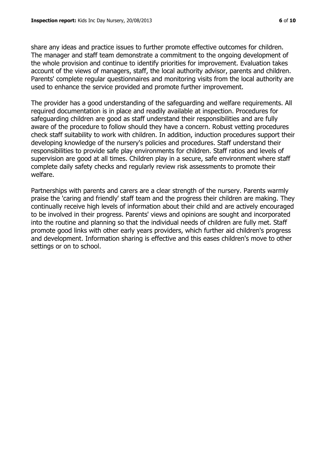share any ideas and practice issues to further promote effective outcomes for children. The manager and staff team demonstrate a commitment to the ongoing development of the whole provision and continue to identify priorities for improvement. Evaluation takes account of the views of managers, staff, the local authority advisor, parents and children. Parents' complete regular questionnaires and monitoring visits from the local authority are used to enhance the service provided and promote further improvement.

The provider has a good understanding of the safeguarding and welfare requirements. All required documentation is in place and readily available at inspection. Procedures for safeguarding children are good as staff understand their responsibilities and are fully aware of the procedure to follow should they have a concern. Robust vetting procedures check staff suitability to work with children. In addition, induction procedures support their developing knowledge of the nursery's policies and procedures. Staff understand their responsibilities to provide safe play environments for children. Staff ratios and levels of supervision are good at all times. Children play in a secure, safe environment where staff complete daily safety checks and regularly review risk assessments to promote their welfare.

Partnerships with parents and carers are a clear strength of the nursery. Parents warmly praise the 'caring and friendly' staff team and the progress their children are making. They continually receive high levels of information about their child and are actively encouraged to be involved in their progress. Parents' views and opinions are sought and incorporated into the routine and planning so that the individual needs of children are fully met. Staff promote good links with other early years providers, which further aid children's progress and development. Information sharing is effective and this eases children's move to other settings or on to school.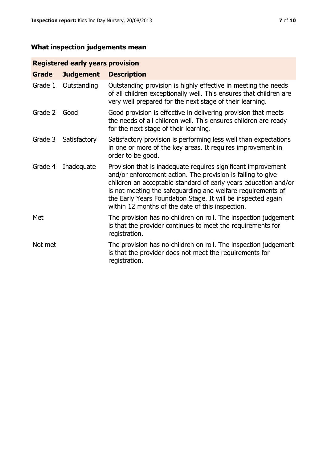# **What inspection judgements mean**

# **Registered early years provision**

| Grade   | <b>Judgement</b> | <b>Description</b>                                                                                                                                                                                                                                                                                                                                                                 |
|---------|------------------|------------------------------------------------------------------------------------------------------------------------------------------------------------------------------------------------------------------------------------------------------------------------------------------------------------------------------------------------------------------------------------|
| Grade 1 | Outstanding      | Outstanding provision is highly effective in meeting the needs<br>of all children exceptionally well. This ensures that children are<br>very well prepared for the next stage of their learning.                                                                                                                                                                                   |
| Grade 2 | Good             | Good provision is effective in delivering provision that meets<br>the needs of all children well. This ensures children are ready<br>for the next stage of their learning.                                                                                                                                                                                                         |
| Grade 3 | Satisfactory     | Satisfactory provision is performing less well than expectations<br>in one or more of the key areas. It requires improvement in<br>order to be good.                                                                                                                                                                                                                               |
| Grade 4 | Inadequate       | Provision that is inadequate requires significant improvement<br>and/or enforcement action. The provision is failing to give<br>children an acceptable standard of early years education and/or<br>is not meeting the safeguarding and welfare requirements of<br>the Early Years Foundation Stage. It will be inspected again<br>within 12 months of the date of this inspection. |
| Met     |                  | The provision has no children on roll. The inspection judgement<br>is that the provider continues to meet the requirements for<br>registration.                                                                                                                                                                                                                                    |
| Not met |                  | The provision has no children on roll. The inspection judgement<br>is that the provider does not meet the requirements for<br>registration.                                                                                                                                                                                                                                        |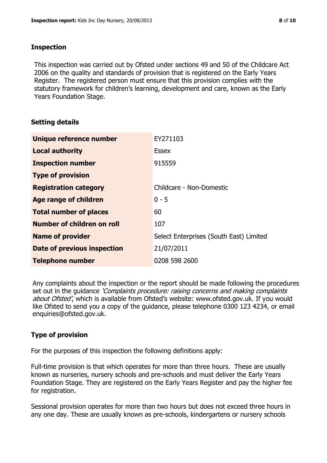#### **Inspection**

This inspection was carried out by Ofsted under sections 49 and 50 of the Childcare Act 2006 on the quality and standards of provision that is registered on the Early Years Register. The registered person must ensure that this provision complies with the statutory framework for children's learning, development and care, known as the Early Years Foundation Stage.

# **Setting details**

| Unique reference number       | EY271103                                |
|-------------------------------|-----------------------------------------|
| <b>Local authority</b>        | <b>Essex</b>                            |
| <b>Inspection number</b>      | 915559                                  |
| <b>Type of provision</b>      |                                         |
| <b>Registration category</b>  | Childcare - Non-Domestic                |
| Age range of children         | $0 - 5$                                 |
| <b>Total number of places</b> | 60                                      |
| Number of children on roll    | 107                                     |
| <b>Name of provider</b>       | Select Enterprises (South East) Limited |
| Date of previous inspection   | 21/07/2011                              |
| <b>Telephone number</b>       | 0208 598 2600                           |

Any complaints about the inspection or the report should be made following the procedures set out in the guidance *'Complaints procedure: raising concerns and making complaints* about Ofsted', which is available from Ofsted's website: www.ofsted.gov.uk. If you would like Ofsted to send you a copy of the guidance, please telephone 0300 123 4234, or email enquiries@ofsted.gov.uk.

# **Type of provision**

For the purposes of this inspection the following definitions apply:

Full-time provision is that which operates for more than three hours. These are usually known as nurseries, nursery schools and pre-schools and must deliver the Early Years Foundation Stage. They are registered on the Early Years Register and pay the higher fee for registration.

Sessional provision operates for more than two hours but does not exceed three hours in any one day. These are usually known as pre-schools, kindergartens or nursery schools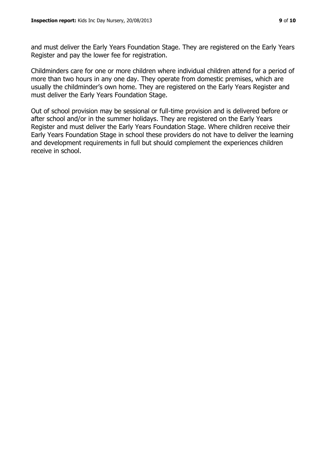and must deliver the Early Years Foundation Stage. They are registered on the Early Years Register and pay the lower fee for registration.

Childminders care for one or more children where individual children attend for a period of more than two hours in any one day. They operate from domestic premises, which are usually the childminder's own home. They are registered on the Early Years Register and must deliver the Early Years Foundation Stage.

Out of school provision may be sessional or full-time provision and is delivered before or after school and/or in the summer holidays. They are registered on the Early Years Register and must deliver the Early Years Foundation Stage. Where children receive their Early Years Foundation Stage in school these providers do not have to deliver the learning and development requirements in full but should complement the experiences children receive in school.